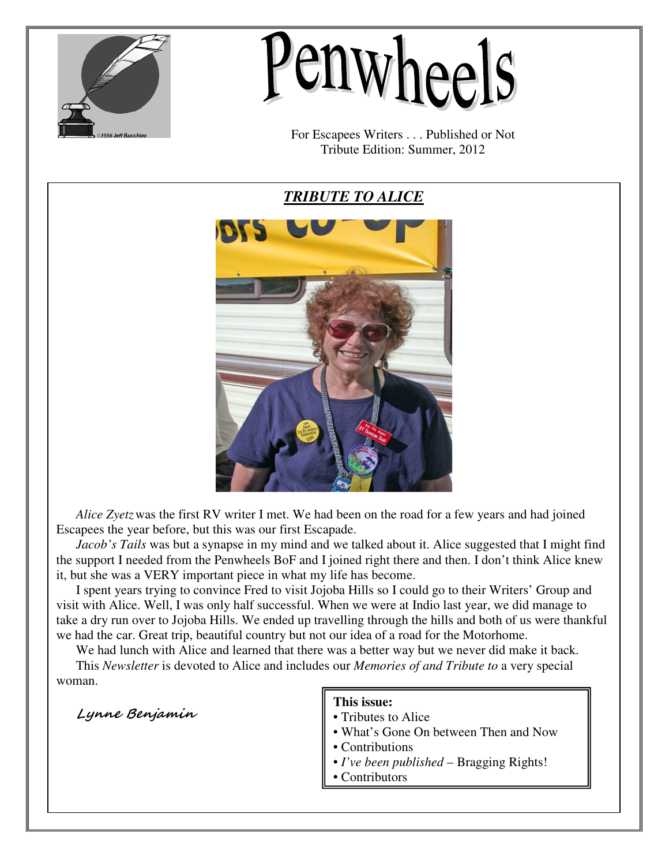

# *enwheels*

For Escapees Writers . . . Published or Not Tribute Edition: Summer, 2012

*TRIBUTE TO ALICE*



Alice Zyetz was the first RV writer I met. We had been on the road for a few years and had joined Escapees the year before, but this was our first Escapade.

*Jacob's Tails* was but a synapse in my mind and we talked about it. Alice suggested that I might find the support I needed from the Penwheels BoF and I joined right there and then. I don't think Alice knew it, but she was a VERY important piece in what my life has become.

I spent years trying to convince Fred to visit Jojoba Hills so I could go to their Writers' Group and take a dry run over to Jojoba Hills. We ended up travelling through the hills and both of us were thankful we had the car. Great trip, beautiful country but not our idea of a road for the Motorhome. visit with Alice. Well, I was only half successful. When we were at Indio last year, we did manage to

We had lunch with Alice and learned that there was a better way but we never did make it back. This *Newsletter* is devoted to Alice and includes our *Memories of and Tribute to* a very special woman.

Lynne Benjamin

# **This issue:**

- Tributes to Alice
- What's Gone On between Then and Now
- Contributions
- *I've been published* Bragging Rights!
- Contributors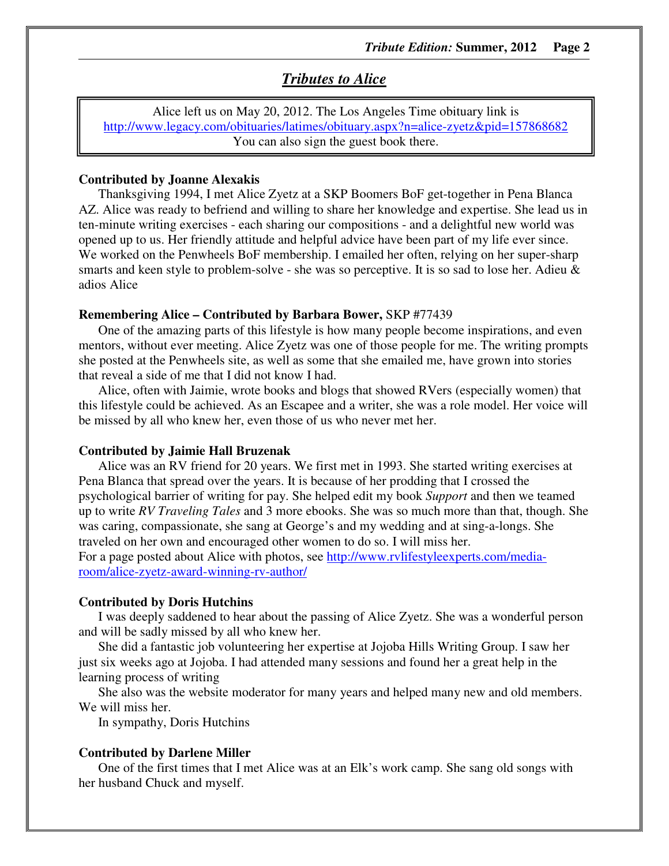# *Tributes to Alice*

Alice left us on May 20, 2012. The Los Angeles Time obituary link is http://www.legacy.com/obituaries/latimes/obituary.aspx?n=alice-zyetz&pid=157868682 You can also sign the guest book there.

# **Contributed by Joanne Alexakis**

Thanksgiving 1994, I met Alice Zyetz at a SKP Boomers BoF get-together in Pena Blanca AZ. Alice was ready to befriend and willing to share her knowledge and expertise. She lead us in ten-minute writing exercises - each sharing our compositions - and a delightful new world was opened up to us. Her friendly attitude and helpful advice have been part of my life ever since. We worked on the Penwheels BoF membership. I emailed her often, relying on her super-sharp smarts and keen style to problem-solve - she was so perceptive. It is so sad to lose her. Adieu & adios Alice

#### **Remembering Alice – Contributed by Barbara Bower,** SKP #77439

One of the amazing parts of this lifestyle is how many people become inspirations, and even mentors, without ever meeting. Alice Zyetz was one of those people for me. The writing prompts she posted at the Penwheels site, as well as some that she emailed me, have grown into stories that reveal a side of me that I did not know I had.

Alice, often with Jaimie, wrote books and blogs that showed RVers (especially women) that this lifestyle could be achieved. As an Escapee and a writer, she was a role model. Her voice will be missed by all who knew her, even those of us who never met her.

#### **Contributed by Jaimie Hall Bruzenak**

Alice was an RV friend for 20 years. We first met in 1993. She started writing exercises at Pena Blanca that spread over the years. It is because of her prodding that I crossed the psychological barrier of writing for pay. She helped edit my book *Support* and then we teamed up to write *RV Traveling Tales* and 3 more ebooks. She was so much more than that, though. She was caring, compassionate, she sang at George's and my wedding and at sing-a-longs. She traveled on her own and encouraged other women to do so. I will miss her. For a page posted about Alice with photos, see http://www.rvlifestyleexperts.com/media-

room/alice-zyetz-award-winning-rv-author/

#### **Contributed by Doris Hutchins**

I was deeply saddened to hear about the passing of Alice Zyetz. She was a wonderful person and will be sadly missed by all who knew her.

She did a fantastic job volunteering her expertise at Jojoba Hills Writing Group. I saw her just six weeks ago at Jojoba. I had attended many sessions and found her a great help in the learning process of writing

She also was the website moderator for many years and helped many new and old members. We will miss her.

In sympathy, Doris Hutchins

#### **Contributed by Darlene Miller**

One of the first times that I met Alice was at an Elk's work camp. She sang old songs with her husband Chuck and myself.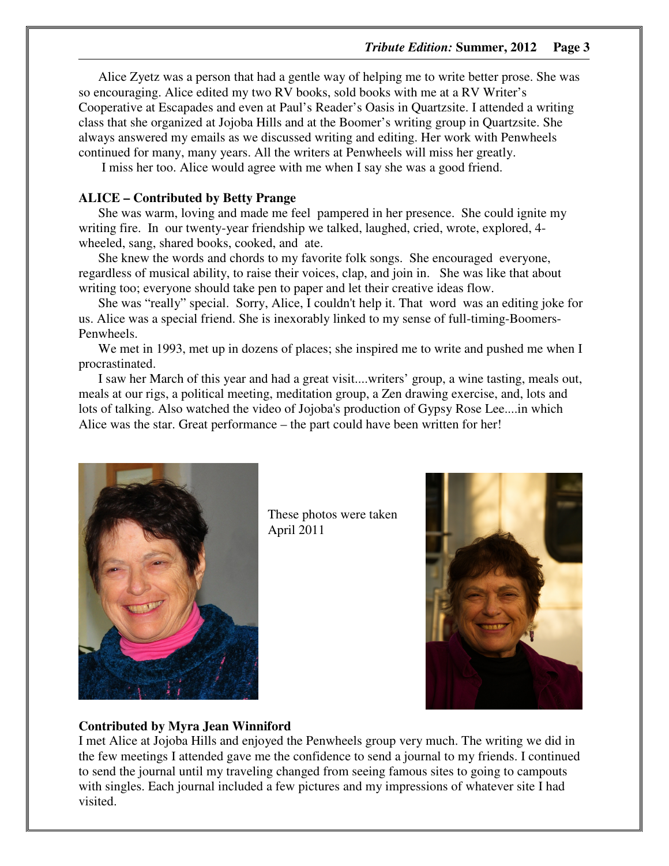Alice Zyetz was a person that had a gentle way of helping me to write better prose. She was so encouraging. Alice edited my two RV books, sold books with me at a RV Writer's Cooperative at Escapades and even at Paul's Reader's Oasis in Quartzsite. I attended a writing class that she organized at Jojoba Hills and at the Boomer's writing group in Quartzsite. She always answered my emails as we discussed writing and editing. Her work with Penwheels continued for many, many years. All the writers at Penwheels will miss her greatly.

I miss her too. Alice would agree with me when I say she was a good friend.

# **ALICE – Contributed by Betty Prange**

She was warm, loving and made me feel pampered in her presence. She could ignite my writing fire. In our twenty-year friendship we talked, laughed, cried, wrote, explored, 4 wheeled, sang, shared books, cooked, and ate.

She knew the words and chords to my favorite folk songs. She encouraged everyone, regardless of musical ability, to raise their voices, clap, and join in. She was like that about writing too; everyone should take pen to paper and let their creative ideas flow.

She was "really" special. Sorry, Alice, I couldn't help it. That word was an editing joke for us. Alice was a special friend. She is inexorably linked to my sense of full-timing-Boomers-Penwheels.

We met in 1993, met up in dozens of places; she inspired me to write and pushed me when I procrastinated.

I saw her March of this year and had a great visit....writers' group, a wine tasting, meals out, meals at our rigs, a political meeting, meditation group, a Zen drawing exercise, and, lots and lots of talking. Also watched the video of Jojoba's production of Gypsy Rose Lee....in which Alice was the star. Great performance – the part could have been written for her!



These photos were taken April 2011



#### **Contributed by Myra Jean Winniford**

I met Alice at Jojoba Hills and enjoyed the Penwheels group very much. The writing we did in the few meetings I attended gave me the confidence to send a journal to my friends. I continued to send the journal until my traveling changed from seeing famous sites to going to campouts with singles. Each journal included a few pictures and my impressions of whatever site I had visited.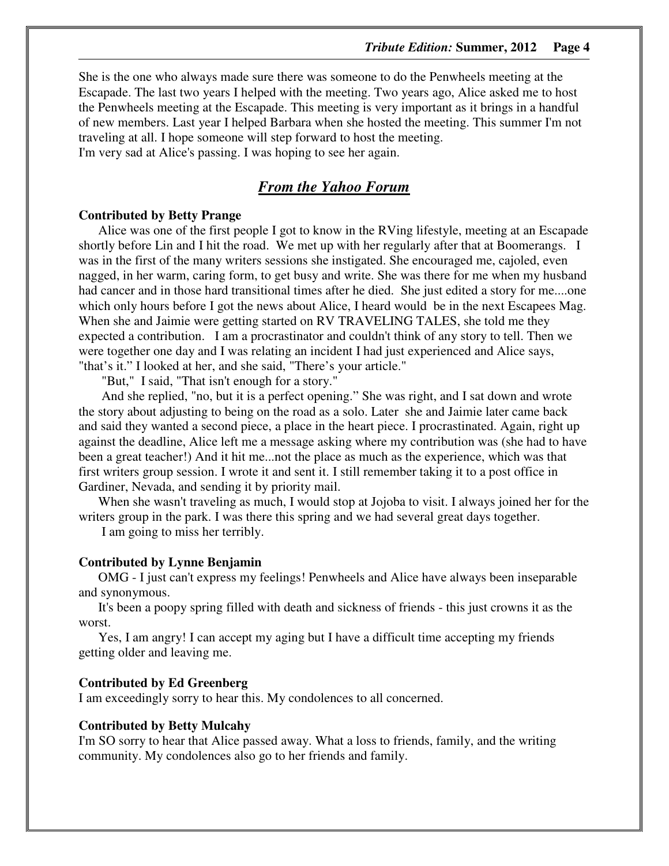She is the one who always made sure there was someone to do the Penwheels meeting at the Escapade. The last two years I helped with the meeting. Two years ago, Alice asked me to host the Penwheels meeting at the Escapade. This meeting is very important as it brings in a handful of new members. Last year I helped Barbara when she hosted the meeting. This summer I'm not traveling at all. I hope someone will step forward to host the meeting. I'm very sad at Alice's passing. I was hoping to see her again.

# *From the Yahoo Forum*

## **Contributed by Betty Prange**

Alice was one of the first people I got to know in the RVing lifestyle, meeting at an Escapade shortly before Lin and I hit the road. We met up with her regularly after that at Boomerangs. I was in the first of the many writers sessions she instigated. She encouraged me, cajoled, even nagged, in her warm, caring form, to get busy and write. She was there for me when my husband had cancer and in those hard transitional times after he died. She just edited a story for me....one which only hours before I got the news about Alice, I heard would be in the next Escapees Mag. When she and Jaimie were getting started on RV TRAVELING TALES, she told me they expected a contribution. I am a procrastinator and couldn't think of any story to tell. Then we were together one day and I was relating an incident I had just experienced and Alice says, "that's it." I looked at her, and she said, "There's your article."

"But," I said, "That isn't enough for a story."

 And she replied, "no, but it is a perfect opening." She was right, and I sat down and wrote the story about adjusting to being on the road as a solo. Later she and Jaimie later came back and said they wanted a second piece, a place in the heart piece. I procrastinated. Again, right up against the deadline, Alice left me a message asking where my contribution was (she had to have been a great teacher!) And it hit me...not the place as much as the experience, which was that first writers group session. I wrote it and sent it. I still remember taking it to a post office in Gardiner, Nevada, and sending it by priority mail.

When she wasn't traveling as much, I would stop at Jojoba to visit. I always joined her for the writers group in the park. I was there this spring and we had several great days together.

I am going to miss her terribly.

## **Contributed by Lynne Benjamin**

OMG - I just can't express my feelings! Penwheels and Alice have always been inseparable and synonymous.

It's been a poopy spring filled with death and sickness of friends - this just crowns it as the worst.

Yes, I am angry! I can accept my aging but I have a difficult time accepting my friends getting older and leaving me.

#### **Contributed by Ed Greenberg**

I am exceedingly sorry to hear this. My condolences to all concerned.

#### **Contributed by Betty Mulcahy**

I'm SO sorry to hear that Alice passed away. What a loss to friends, family, and the writing community. My condolences also go to her friends and family.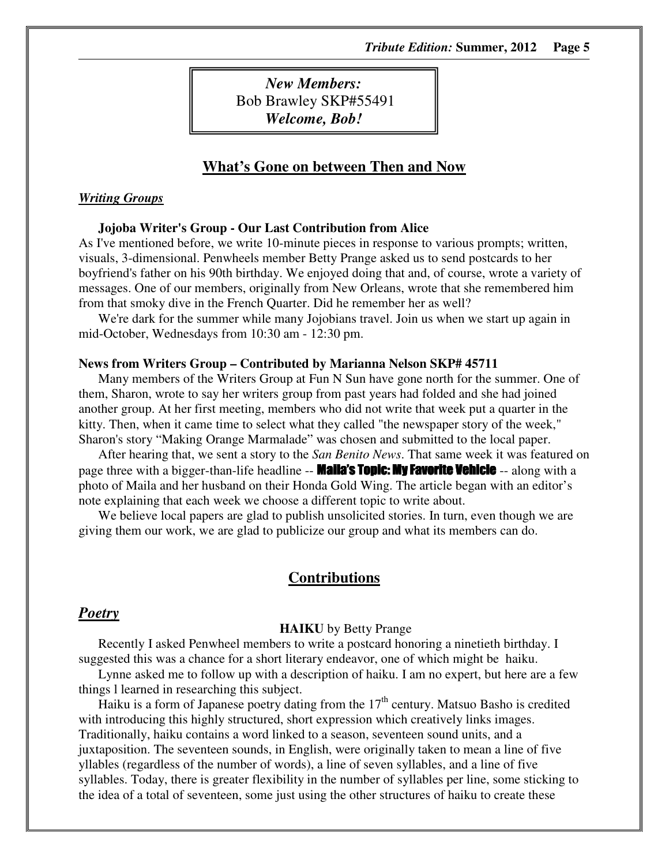*New Members:*  Bob Brawley SKP#55491 *Welcome, Bob!* 

# **What's Gone on between Then and Now**

# *Writing Groups*

#### **Jojoba Writer's Group - Our Last Contribution from Alice**

As I've mentioned before, we write 10-minute pieces in response to various prompts; written, visuals, 3-dimensional. Penwheels member Betty Prange asked us to send postcards to her boyfriend's father on his 90th birthday. We enjoyed doing that and, of course, wrote a variety of messages. One of our members, originally from New Orleans, wrote that she remembered him from that smoky dive in the French Quarter. Did he remember her as well?

We're dark for the summer while many Jojobians travel. Join us when we start up again in mid-October, Wednesdays from 10:30 am - 12:30 pm.

#### **News from Writers Group – Contributed by Marianna Nelson SKP# 45711**

Many members of the Writers Group at Fun N Sun have gone north for the summer. One of them, Sharon, wrote to say her writers group from past years had folded and she had joined another group. At her first meeting, members who did not write that week put a quarter in the kitty. Then, when it came time to select what they called "the newspaper story of the week," Sharon's story "Making Orange Marmalade" was chosen and submitted to the local paper.

After hearing that, we sent a story to the *San Benito News*. That same week it was featured on page three with a bigger-than-life headline -- **Maila's Topic: My Favorite Vehicle** -- along with a photo of Maila and her husband on their Honda Gold Wing. The article began with an editor's note explaining that each week we choose a different topic to write about.

We believe local papers are glad to publish unsolicited stories. In turn, even though we are giving them our work, we are glad to publicize our group and what its members can do.

# **Contributions**

# *Poetry*

#### **HAIKU** by Betty Prange

Recently I asked Penwheel members to write a postcard honoring a ninetieth birthday. I suggested this was a chance for a short literary endeavor, one of which might be haiku.

Lynne asked me to follow up with a description of haiku. I am no expert, but here are a few things l learned in researching this subject.

Haiku is a form of Japanese poetry dating from the  $17<sup>th</sup>$  century. Matsuo Basho is credited with introducing this highly structured, short expression which creatively links images. Traditionally, haiku contains a word linked to a season, seventeen sound units, and a juxtaposition. The seventeen sounds, in English, were originally taken to mean a line of five yllables (regardless of the number of words), a line of seven syllables, and a line of five syllables. Today, there is greater flexibility in the number of syllables per line, some sticking to the idea of a total of seventeen, some just using the other structures of haiku to create these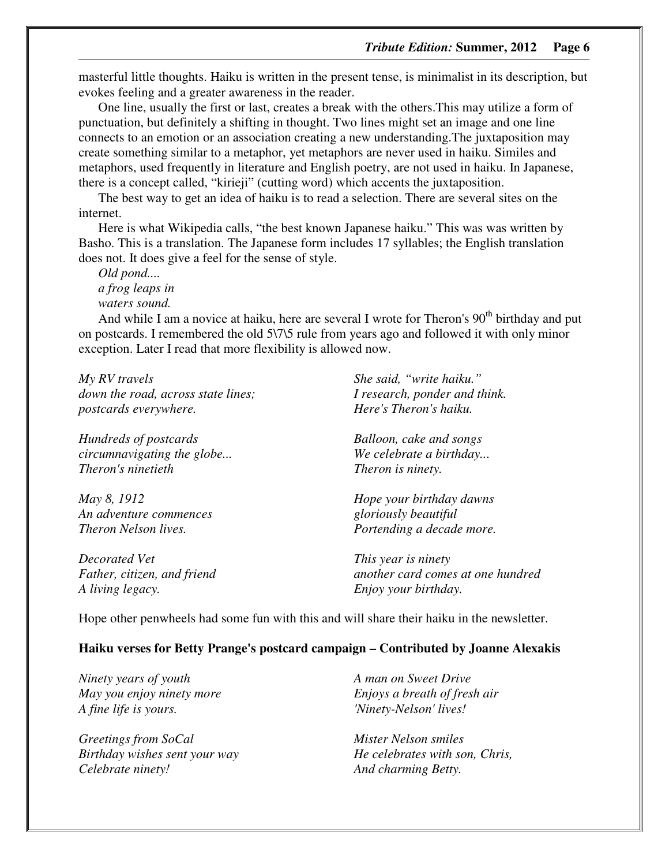masterful little thoughts. Haiku is written in the present tense, is minimalist in its description, but evokes feeling and a greater awareness in the reader.

One line, usually the first or last, creates a break with the others.This may utilize a form of punctuation, but definitely a shifting in thought. Two lines might set an image and one line connects to an emotion or an association creating a new understanding.The juxtaposition may create something similar to a metaphor, yet metaphors are never used in haiku. Similes and metaphors, used frequently in literature and English poetry, are not used in haiku. In Japanese, there is a concept called, "kirieji" (cutting word) which accents the juxtaposition.

The best way to get an idea of haiku is to read a selection. There are several sites on the internet.

Here is what Wikipedia calls, "the best known Japanese haiku." This was was written by Basho. This is a translation. The Japanese form includes 17 syllables; the English translation does not. It does give a feel for the sense of style.

*Old pond.... a frog leaps in waters sound.* 

And while I am a novice at haiku, here are several I wrote for Theron's  $90<sup>th</sup>$  birthday and put on postcards. I remembered the old 5\7\5 rule from years ago and followed it with only minor exception. Later I read that more flexibility is allowed now.

*My RV travels down the road, across state lines; postcards everywhere. Hundreds of postcards circumnavigating the globe... Theron's ninetieth May 8, 1912 An adventure commences Theron Nelson lives. Decorated Vet Father, citizen, and friend A living legacy. She said, "write haiku." I research, ponder and think. Here's Theron's haiku. Balloon, cake and songs We celebrate a birthday... Theron is ninety. Hope your birthday dawns gloriously beautiful Portending a decade more. This year is ninety another card comes at one hundred Enjoy your birthday.* 

Hope other penwheels had some fun with this and will share their haiku in the newsletter.

#### **Haiku verses for Betty Prange's postcard campaign – Contributed by Joanne Alexakis**

*Ninety years of youth May you enjoy ninety more A fine life is yours.* 

*Greetings from SoCal Birthday wishes sent your way Celebrate ninety!* 

*A man on Sweet Drive Enjoys a breath of fresh air 'Ninety-Nelson' lives!* 

*Mister Nelson smiles He celebrates with son, Chris, And charming Betty.*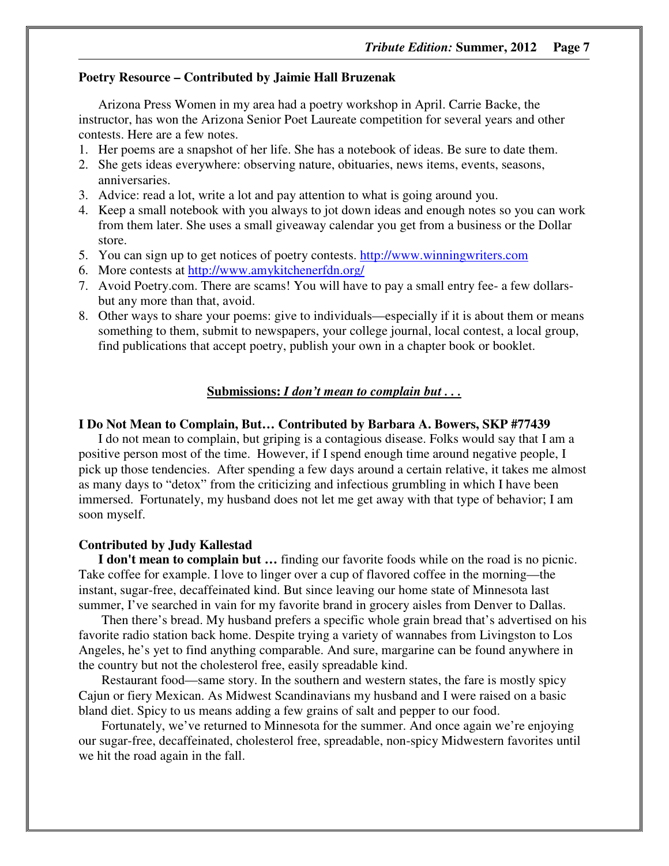### **Poetry Resource – Contributed by Jaimie Hall Bruzenak**

Arizona Press Women in my area had a poetry workshop in April. Carrie Backe, the instructor, has won the Arizona Senior Poet Laureate competition for several years and other contests. Here are a few notes.

- 1. Her poems are a snapshot of her life. She has a notebook of ideas. Be sure to date them.
- 2. She gets ideas everywhere: observing nature, obituaries, news items, events, seasons, anniversaries.
- 3. Advice: read a lot, write a lot and pay attention to what is going around you.
- 4. Keep a small notebook with you always to jot down ideas and enough notes so you can work from them later. She uses a small giveaway calendar you get from a business or the Dollar store.
- 5. You can sign up to get notices of poetry contests. http://www.winningwriters.com
- 6. More contests at http://www.amykitchenerfdn.org/
- 7. Avoid Poetry.com. There are scams! You will have to pay a small entry fee- a few dollarsbut any more than that, avoid.
- 8. Other ways to share your poems: give to individuals—especially if it is about them or means something to them, submit to newspapers, your college journal, local contest, a local group, find publications that accept poetry, publish your own in a chapter book or booklet.

### **Submissions:** *I don't mean to complain but . . .*

#### **I Do Not Mean to Complain, But… Contributed by Barbara A. Bowers, SKP #77439**

I do not mean to complain, but griping is a contagious disease. Folks would say that I am a positive person most of the time. However, if I spend enough time around negative people, I pick up those tendencies. After spending a few days around a certain relative, it takes me almost as many days to "detox" from the criticizing and infectious grumbling in which I have been immersed. Fortunately, my husband does not let me get away with that type of behavior; I am soon myself.

#### **Contributed by Judy Kallestad**

**I don't mean to complain but …** finding our favorite foods while on the road is no picnic. Take coffee for example. I love to linger over a cup of flavored coffee in the morning—the instant, sugar-free, decaffeinated kind. But since leaving our home state of Minnesota last summer, I've searched in vain for my favorite brand in grocery aisles from Denver to Dallas.

 Then there's bread. My husband prefers a specific whole grain bread that's advertised on his favorite radio station back home. Despite trying a variety of wannabes from Livingston to Los Angeles, he's yet to find anything comparable. And sure, margarine can be found anywhere in the country but not the cholesterol free, easily spreadable kind.

 Restaurant food—same story. In the southern and western states, the fare is mostly spicy Cajun or fiery Mexican. As Midwest Scandinavians my husband and I were raised on a basic bland diet. Spicy to us means adding a few grains of salt and pepper to our food.

 Fortunately, we've returned to Minnesota for the summer. And once again we're enjoying our sugar-free, decaffeinated, cholesterol free, spreadable, non-spicy Midwestern favorites until we hit the road again in the fall.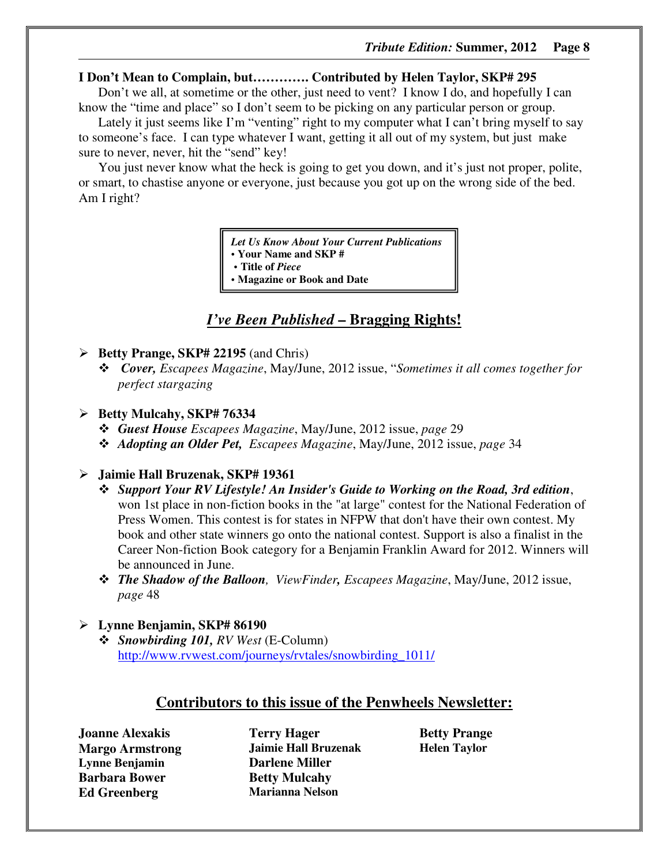# **I Don't Mean to Complain, but…………. Contributed by Helen Taylor, SKP# 295**

Don't we all, at sometime or the other, just need to vent? I know I do, and hopefully I can know the "time and place" so I don't seem to be picking on any particular person or group.

Lately it just seems like I'm "venting" right to my computer what I can't bring myself to say to someone's face. I can type whatever I want, getting it all out of my system, but just make sure to never, never, hit the "send" key!

You just never know what the heck is going to get you down, and it's just not proper, polite, or smart, to chastise anyone or everyone, just because you got up on the wrong side of the bed. Am I right?

*Let Us Know About Your Current Publications* 

**• Your Name and SKP #** 

- **Title of** *Piece*
- **Magazine or Book and Date**

# *I've Been Published* **– Bragging Rights!**

- **Betty Prange, SKP# 22195** (and Chris)
	- *Cover, Escapees Magazine*, May/June, 2012 issue, "*Sometimes it all comes together for perfect stargazing*

# **Betty Mulcahy, SKP# 76334**

- *Guest House Escapees Magazine*, May/June, 2012 issue, *page* 29
- *Adopting an Older Pet, Escapees Magazine*, May/June, 2012 issue, *page* 34

# **Jaimie Hall Bruzenak, SKP# 19361**

- *Support Your RV Lifestyle! An Insider's Guide to Working on the Road, 3rd edition*, won 1st place in non-fiction books in the "at large" contest for the National Federation of Press Women. This contest is for states in NFPW that don't have their own contest. My book and other state winners go onto the national contest. Support is also a finalist in the Career Non-fiction Book category for a Benjamin Franklin Award for 2012. Winners will be announced in June.
- *The Shadow of the Balloon, ViewFinder, Escapees Magazine*, May/June, 2012 issue, *page* 48

# **Lynne Benjamin, SKP# 86190**

- *Snowbirding 101, RV West* (E-Column) http://www.rvwest.com/journeys/rvtales/snowbirding\_1011/

# **Contributors to this issue of the Penwheels Newsletter:**

**Joanne Alexakis Margo Armstrong Lynne Benjamin Barbara Bower Ed Greenberg**

**Terry Hager Jaimie Hall Bruzenak Darlene Miller Betty Mulcahy Marianna Nelson** 

**Betty Prange Helen Taylor**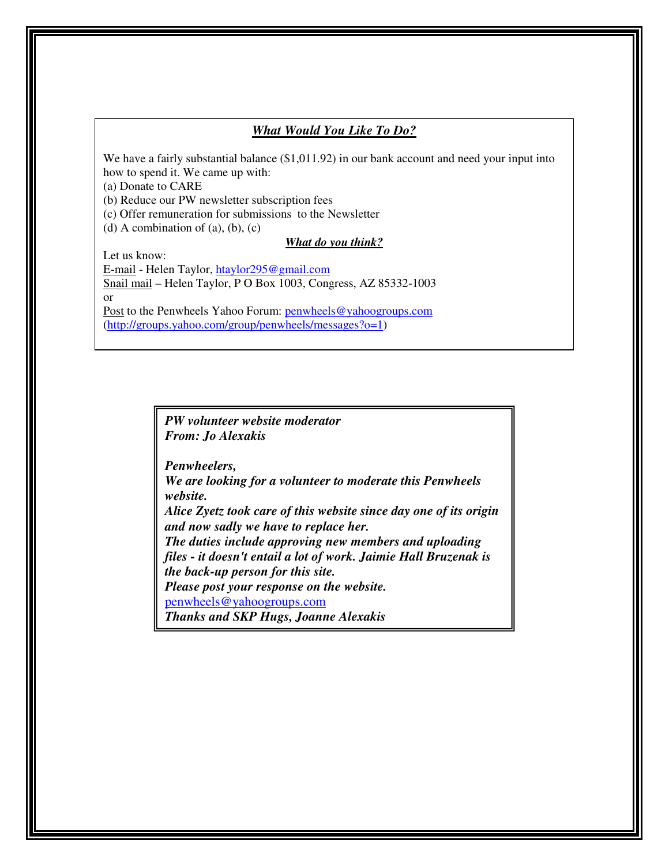# *What Would You Like To Do?*

We have a fairly substantial balance (\$1,011.92) in our bank account and need your input into how to spend it. We came up with:

(a) Donate to CARE

(b) Reduce our PW newsletter subscription fees

(c) Offer remuneration for submissions to the Newsletter

(d) A combination of  $(a)$ ,  $(b)$ ,  $(c)$ 

#### *What do you think?*

Let us know:

E-mail - Helen Taylor, htaylor295@gmail.com Snail mail – Helen Taylor, P O Box 1003, Congress, AZ 85332-1003 or

Post to the Penwheels Yahoo Forum: penwheels@yahoogroups.com (http://groups.yahoo.com/group/penwheels/messages?o=1)

> *PW volunteer website moderator From: Jo Alexakis*

*Penwheelers, We are looking for a volunteer to moderate this Penwheels website. Alice Zyetz took care of this website since day one of its origin and now sadly we have to replace her. The duties include approving new members and uploading files - it doesn't entail a lot of work. Jaimie Hall Bruzenak is the back-up person for this site. Please post your response on the website.*  penwheels@yahoogroups.com *Thanks and SKP Hugs, Joanne Alexakis*